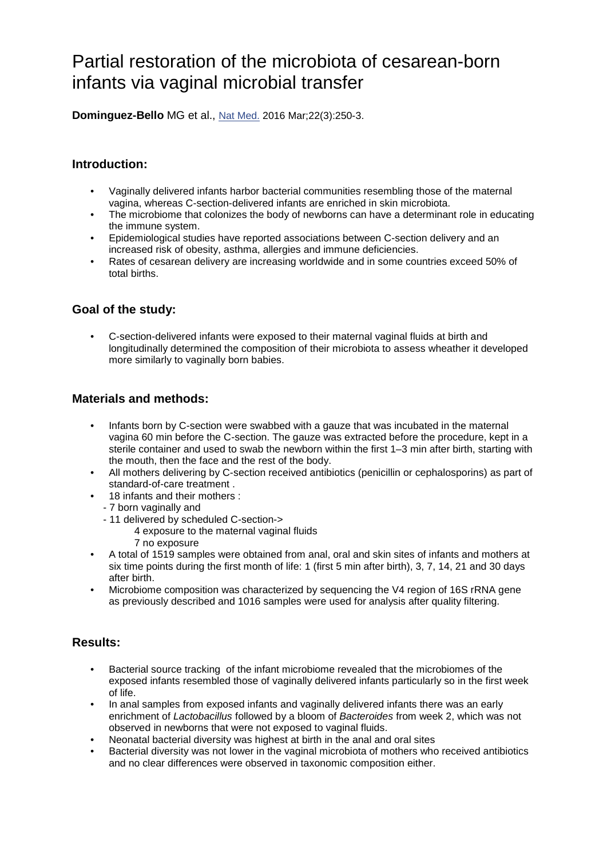# Partial restoration of the microbiota of cesarean-born infants via vaginal microbial transfer

**Dominguez-Bello** MG et al., [Nat Med.](https://www.ncbi.nlm.nih.gov/pubmed/26828196) 2016 Mar;22(3):250-3.

### **Introduction:**

- Vaginally delivered infants harbor bacterial communities resembling those of the maternal vagina, whereas C-section-delivered infants are enriched in skin microbiota.
- The microbiome that colonizes the body of newborns can have a determinant role in educating the immune system.
- Epidemiological studies have reported associations between C-section delivery and an increased risk of obesity, asthma, allergies and immune deficiencies.
- Rates of cesarean delivery are increasing worldwide and in some countries exceed 50% of total births.

#### **Goal of the study:**

• C-section-delivered infants were exposed to their maternal vaginal fluids at birth and longitudinally determined the composition of their microbiota to assess wheather it developed more similarly to vaginally born babies.

#### **Materials and methods:**

- Infants born by C-section were swabbed with a gauze that was incubated in the maternal vagina 60 min before the C-section. The gauze was extracted before the procedure, kept in a sterile container and used to swab the newborn within the first 1–3 min after birth, starting with the mouth, then the face and the rest of the body.
- All mothers delivering by C-section received antibiotics (penicillin or cephalosporins) as part of standard-of-care treatment .
- 18 infants and their mothers :
- 7 born vaginally and
- 11 delivered by scheduled C-section->
	- 4 exposure to the maternal vaginal fluids
	- 7 no exposure
- A total of 1519 samples were obtained from anal, oral and skin sites of infants and mothers at six time points during the first month of life: 1 (first 5 min after birth), 3, 7, 14, 21 and 30 days after birth.
- Microbiome composition was characterized by sequencing the V4 region of 16S rRNA gene as previously described and 1016 samples were used for analysis after quality filtering.

## **Results:**

- Bacterial source tracking of the infant microbiome revealed that the microbiomes of the exposed infants resembled those of vaginally delivered infants particularly so in the first week of life.
- In anal samples from exposed infants and vaginally delivered infants there was an early enrichment of *Lactobacillus* followed by a bloom of *Bacteroides* from week 2, which was not observed in newborns that were not exposed to vaginal fluids.
- Neonatal bacterial diversity was highest at birth in the anal and oral sites
- Bacterial diversity was not lower in the vaginal microbiota of mothers who received antibiotics and no clear differences were observed in taxonomic composition either.